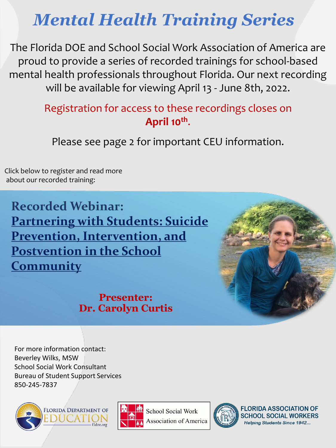## *Mental Health Training Series*

The Florida DOE and School Social Work Association of America are proud to provide a series of recorded trainings for school-based mental health professionals throughout Florida. Our next recording will be available for viewing April 13 - June 8th, 2022.

## Registration for access to these recordings closes on **April 10th** .

Please see page 2 for important CEU information.

Click below to register and read more about our recorded training:

**Recorded Webinar: [Partnering with Students: Suicide](https://sswaa.growthzoneapp.com/ap/Events/Register/Mp5ZJWoP?mode=Attendee) Prevention, Intervention, and Postvention in the School Community**

## **Presenter: Dr. Carolyn Curtis**



For more information contact: Beverley Wilks, MSW School Social Work Consultant Bureau of Student Support Services 850-245-7837





**School Social Work Association of America** 



**FLORIDA ASSOCIATION OF SCHOOL SOCIAL WORKERS Helping Students Since 1942...**